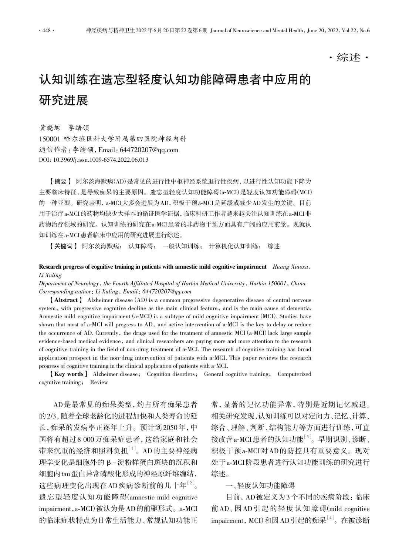·综述·

# 认知训练在遗忘型轻度认知功能障碍患者中应用的 研究进展

黄晓旭 李绪领

150001 哈尔滨医科大学附属第四医院神经内科 通信作者:李绪领,Email:644720207@qq.com DOI:10.3969/j.issn.1009-6574.2022.06.013

【摘要】 阿尔茨海默病(AD)是常见的进行性中枢神经系统退行性疾病,以进行性认知功能下降为 主要临床特征,是导致痴呆的主要原因。遗忘型轻度认知功能障碍(a-MCI)是轻度认知功能障碍(MCI) 的一种亚型。研究表明,a-MCI 大多会进展为 AD,积极干预 a-MCI 是延缓或减少 AD 发生的关键。目前 用于治疗 a-MCI 的药物均缺少大样本的循证医学证据,临床科研工作者越来越关注认知训练在 a-MCI 非 药物治疗领域的研究。认知训练的研究在 a-MCI 患者的非药物干预方面具有广阔的应用前景。现就认 知训练在 a-MCI 患者临床中应用的研究进展进行综述。

【关键词】 阿尔茨海默病; 认知障碍; 一般认知训练; 计算机化认知训练; 综述

### Research progress of cognitive training in patients with amnestic mild cognitive impairment  $Huang Xiaoxu$ , Li Xuling

Department of Neurology, the Fourth Affiliated Hospital of Harbin Medical University, Harbin 150001, China Corresponding author: Li Xuling, Email: 644720207@qq.com

【Abstract】 Alzheimer disease (AD) is a common progressive degenerative disease of central nervous system, with progressive cognitive decline as the main clinical feature, and is the main cause of dementia. Amnestic mild cognitive impairment (a-MCI) is a subtype of mild cognitive impairment (MCI). Studies have shown that most of a-MCI will progress to AD, and active intervention of a-MCI is the key to delay or reduce the occurrence of AD. Currently, the drugs used for the treatment of amnestic MCI (a-MCI) lack large sample evidence-based medical evidence, and clinical researchers are paying more and more attention to the research of cognitive training in the field of non-drug treatment of a-MCI. The research of cognitive training has broad application prospect in the non-drug intervention of patients with a-MCI. This paper reviews the research progress of cognitive training in the clinical application of patients with a-MCI.

【Key words】 Alzheimer disease; Cognition disorders; General cognitive training; Computerized cognitive training; Review

AD 是最常见的痴呆类型,约占所有痴呆患者 的 2/3, 随着全球老龄化的进程加快和人类寿命的延 长,痴呆的发病率正逐年上升。预计到 2050 年,中 国将有超过 8 000 万痴呆症患者,这给家庭和社会 带来沉重的经济和照料负担[1]。AD 的主要神经病 理学变化是细胞外的 β- 淀粉样蛋白斑块的沉积和 细胞内 tau 蛋白异常磷酸化形成的神经原纤维缠结, 这些病理变化出现在 AD 疾病诊断前的几十年[2]。 遗忘型轻度认知功能障碍(amnestic mild cognitive impairment,a-MCI)被认为是 AD 的前驱形式。a-MCI 的临床症状特点为日常生活能力、常规认知功能正

常,显著的记忆功能异常,特别是近期记忆减退。 相关研究发现,认知训练可以对定向力、记忆、计算、 综合、理解、判断、结构能力等方面进行训练,可直 接改善a-MCI 患者的认知功能[3]。早期识别、诊断、 积极干预a-MCI 对 AD 的防控具有重要意义。现对 处于a-MCI 阶段患者进行认知功能训练的研究进行 综述。

## 一、轻度认知功能障碍

目前,AD 被定义为 3 个不同的疾病阶段:临床 前 AD、因 AD 引 起 的 轻 度 认 知 障 碍(mild cognitive impairment, MCI)和因 AD 引起的痴呆[4]。在被诊断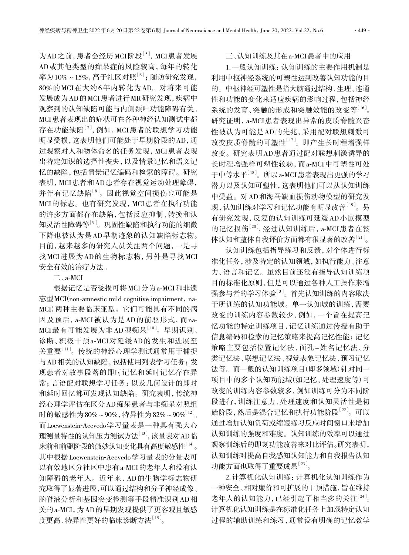为 AD 之前, 患者会经历 MCI 阶段<sup>[5]</sup>, MCI 患者发展 AD 或其他类型的痴呆症的风险较高,每年的转化 率为 $10\% \sim 15\%$ , 高于社区对照 $^{[6]}$ ; 随访研究发现, 80% 的 MCI 在大约 6 年内转化为 AD。对将来可能 发展成为 AD 的 MCI 患者进行 MR 研究发现,疾病中 观察到的认知缺陷可能与内侧颞叶功能障碍有关。 MCI 患者表现出的症状可在各种神经认知测试中都 存在功能缺陷[7],例如,MCI 患者的联想学习功能 明显受损,这表明他们可能处于早期阶段的 AD,通 过观察对人和物体命名的任务发现,MCI 患者表现 出特定知识的选择性丧失,以及情景记忆和语义记 忆的缺陷,包括情景记忆编码和检索的障碍。研究 表明,MCI 患者和 AD 患者存在视觉运动处理障碍, 并伴有记忆缺陷[8]。因此视觉空间损伤也可能是 MCI 的标志。也有研究发现,MCI 患者在执行功能 的许多方面都存在缺陷,包括反应抑制、转换和认 知灵活性障碍等[9]。巩固性缺陷和执行功能的细微 下降也被认为是 AD 早期迹象的认知缺陷标志物。 目前,越来越多的研究人员关注两个问题,一是寻 找 MCI 进展为 AD 的生物标志物,另外是寻找 MCI 安全有效的治疗方法。

 $\equiv$ , a-MCI

根据记忆是否受损可将 MCI 分为 a-MCI 和非遗 忘型 MCI(non-amnestic mild cognitive impairment, na-MCI)两种主要临床亚型。它们可能具有不同的病 因及预后,a-MCI 被认为是 AD 的前驱形式,而 na-MCI最有可能发展为非AD型痴呆[10]。早期识别、 诊断、积极干预 a-MCI 对延缓 AD 的发生和进展至 关重要[11]。传统的神经心理学测试通常用于捕捉 与 AD 相关的认知缺陷,包括使用列表学习任务;发 现患者对故事段落的即时记忆和延时记忆存在异 常;言语配对联想学习任务;以及几何设计的即时 和延时回忆都可发现认知缺陷。研究表明,传统神 经心理学评估在区分 AD 痴呆患者与非痴呆对照组 时的敏感性为 80%~90%, 特异性为 82%~90%<sup>[12]</sup>。 而Loewenstein-Acevedo学习量表是一种具有强大心 理测量特性的认知压力测试方法[13],该量表对AD临 床前和前驱阶段的微妙认知变化具有高度敏感性[14]。 其中根据 Loewenstein-Acevedo 学习量表的分量表可 以有效地区分社区中患有a-MCI 的老年人和没有认 知障碍的老年人。近年来,AD 的生物学标志物研 究取得了显著进展,可以通过结构和分子神经成像、 脑脊液分析和基因突变检测等手段精准识别 AD 相 关的a-MCI,为 AD 的早期发现提供了更客观且敏感 度更高、特异性更好的临床诊断方法[15]。

## 三、认知训练及其在 a-MCI 患者中的应用

1. 一般认知训练:认知训练的主要作用机制是 利用中枢神经系统的可塑性达到改善认知功能的目 的。中枢神经可塑性是指大脑通过结构、生理、连通 性和功能的变化来适应疾病的影响过程,包括神经 系统的发育、突触的形成和突触效能的改变等[16]。 研究证明,a-MCI 患者表现出异常的皮质脊髓兴奋 性被认为可能是 AD 的先兆,采用配对联想刺激可 改变皮质脊髓的可塑性[17]。即产生长时程增强样 改变。研究表明 AD 患者通过配对联想刺激诱导的 长时程增强样可塑性较弱,而 a-MCI 中可塑性可处 于中等水平[18]。所以 a-MCI 患者表现出更强的学习 潜力以及认知可塑性,这表明他们可以从认知训练 中受益。对 AD 和海马缺血损伤动物模型的研究发 现,认知训练对学习和记忆功能有明显改善[19]。另 有研究发现,反复的认知训练可延缓 AD 小鼠模型 的记忆损伤<sup>[20]</sup>,经过认知训练后, a-MCI患者在整 体认知和整体自我评价方面都有很显著的改善[21]。

认知训练包括指导练习和反馈,对个体进行标 准化任务,涉及特定的认知领域,如执行能力、注意 力、语言和记忆。虽然目前还没有指导认知训练项 目的标准化原则,但是可以通过各种人工操作来增 强参与者的学习体验[3]。首先认知训练的内容取决 于所训练的认知功能域。单一认知域的训练,需要 改变的训练内容参数较少,例如,一个旨在提高记 忆功能的特定训练项目,记忆训练通过传授有助于 信息编码和检索的记忆策略来提高记忆性能;记忆 策略主要包括位置记忆法、面孔 - 姓名记忆法、分 类记忆法、联想记忆法、视觉表象记忆法、预习记忆 法等。而一般的认知训练项目(即多领域)针对同一 项目中的多个认知功能域(如记忆、处理速度等)可 改变的训练内容参数较多,例如训练可分为不同阶 段进行,训练注意力、处理速度和认知灵活性是初 始阶段,然后是混合记忆和执行功能阶段[22]。可以 通过增加认知负荷或缩短练习反应时间窗口来增加 认知训练的强度和难度。认知训练的效率可以通过 观察训练后的即刻功能改善来对比评估。研究表明, 认知训练对提高自我感知认知能力和自我报告认知 功能方面也取得了重要成果[23]。

2. 计算机化认知训练:计算机化认知训练作为 一种安全、相对廉价和可扩展的干预措施,旨在维持 老年人的认知能力,已经引起了相当多的关注[24]。 计算机化认知训练是在标准化任务上加载特定认知 过程的辅助训练和练习,通常设有明确的记忆教学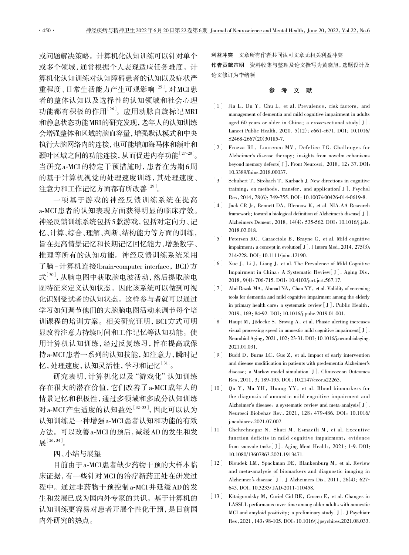或问题解决策略。计算机化认知训练可以针对单个 或多个领域,通常根据个人表现适应任务难度。计 算机化认知训练对认知障碍患者的认知以及症状严 重程度、日常生活能力产生可观影响<sup>[25]</sup>,对MCI患 者的整体认知以及选择性的认知领域和社会心理 功能都有积极的作用[26]。应用动脉自旋标记 MRI 和静息状态功能MRI的研究发现,老年人的认知训练 会增强整体和区域的脑血容量,增强默认模式和中央 执行大脑网络内的连接,也可能增加海马体和额叶和 颞叶区域之间的功能连接,从而促进内存功能[27-28]。 当研究a-MCI 的特定干预措施时,患者在为期 6 周 的基于计算机视觉的处理速度训练,其处理速度、 注意力和工作记忆方面都有所改善[29]。

一项基于游戏的神经反馈训练系统在提高 a-MCI 患者的认知表现方面获得明显的临床疗效。 神经反馈训练系统包括 5 款游戏,包括对定向力、记 忆、计算、综合、理解、判断、结构能力等方面的训练, 旨在提高情景记忆和长期记忆回忆能力,增强数字、 推理等所有的认知功能。神经反馈训练系统采用 了脑 - 计算机连接(brain-computer interface, BCI)方 式[30],从脑电图中获取脑电波活动,然后提取脑电 图特征来定义认知状态。因此该系统可以做到可视 化识别受试者的认知状态。这样参与者就可以通过 学习如何调节他们的大脑脑电图活动来调节每个培 训课程的培训方案。相关研究证明,BCI 方式可明 显改善注意力持续时间和工作记忆等认知功能。使 用计算机认知训练,经过反复练习,旨在提高或保 持 a-MCI 患者一系列的认知技能,如注意力,瞬时记 忆,处理速度,认知灵活性,学习和记忆[31]。

研究表明,计算机化以及"游戏化"认知训练 存在很大的潜在价值,它们改善了 a-MCI 成年人的 情景记忆和积极性,通过多领域和多成分认知训练 对 a-MCI产生适度的认知益处<sup>[32-33]</sup>, 因此可以认为 认知训练是一种增强a-MCI 患者认知和功能的有效 方法。可以改善 a-MCI 的预后,减缓 AD 的发生和发 展 $[26,34]$ 

四、小结与展望

目前由于a-MCI 患者缺少药物干预的大样本临 床证据,有一些针对 MCI 的治疗新药正处在研发过 程中。通过非药物干预控制 a-MCI 并延缓 AD 的发 生和发展已成为国内外专家的共识。基于计算机的 认知训练更容易对患者开展个性化干预,是目前国 内外研究的热点。

利益冲突 文章所有作者共同认可文章无相关利益冲突 作者贡献声明 资料收集与整理及论文撰写为黄晓旭,选题设计及 论文修订为李绪领

#### 参 考 文 献

- [1] Jia L, Du Y, Chu L, et al. Prevalence, risk factors, and management of dementia and mild cognitive impairment in adults aged 60 years or older in China: a cross-sectional study [J]. Lancet Public Health, 2020, 5(12): e661-e671. DOI: 10.1016/ S2468-2667(20)30185-7.
- [2] Frozza RL, Lourenco MV, Defelice FG. Challenges for Alzheimer*'*s disease therapy: insights from novelm echanisms beyond memory defects[J]. Front Neurosci,2018,12:37. DOI: 10.3389/fnins.2018.00037.
- [3] Schubert T, Strobach T, Karbach J. New directions in cognitive training: on methods, transfer, and application[J]. Psychol Res, 2014, 78(6): 749-755. DOI: 10.1007/s00426-014-0619-8.
- [4] Jack CR Jr, Bennett DA, Blennow K, et al. NIA-AA Research framework: toward a biological definition of Alzheimer*'*s disease[J]. Alzheimers Dement,2018,14(4):535-562. DOI:10.1016/j.jalz. 2018.02.018.
- [5] Petersen RC, Caracciolo B, Brayne C, et al. Mild cognitive impairment: a concept in evolution [J]. J Intern Med, 2014, 275(3): 214-228. DOI:10.1111/joim.12190.
- [6] Xue J, Li J, Liang J, et al. The Prevalence of Mild Cognitive Impairment in China: A Systematic Review[J]. Aging Dis, 2018, 9(4): 706-715. DOI: 10.4103/jcrt.jcrt.567.17.
- [7] Abd Razak MA, Ahmad NA, Chan YY, et al. Validity of screening tools for dementia and mild cognitive impairment among the elderly in primary health care: a systematic review [J]. Public Health, 2019,169:84-92. DOI:10.1016/j.puhe.2019.01.001.
- [8] Haupt M, Jödecke S, Srowig A, et al. Phasic alerting increases visual processing speed in amnestic mild cognitive impairment[J]. Neurobiol Aging,2021,102:23-31. DOI:10.1016/j.neurobiolaging. 2021.01.031.
- [9] Budd D, Burns LC, Guo Z, et al. Impact of early intervention and disease modification in patients with predementia Alzheimer*'*s disease: a Markov model simulation[J]. Clinicoecon Outcomes Res,2011,3:189-195. DOI:10.2147/ceor.s22265.
- [10] Qu Y, Ma YH, Huang YY, et al. Blood biomarkers for the diagnosis of amnestic mild cognitive impairment and Alzheimer's disease: a systematic review and meta-analysis[J]. Neurosci Biobehav Rev,2021,128:479-486. DOI:10.1016/ j.neubiorev.2021.07.007.
- [11] Chehrehnegar N, Shati M, Esmaeili M, et al. Executive function deficits in mild cognitive impairment: evidence from saccade tasks[J]. Aging Ment Health, 2021:1-9. DOI: 10.1080/13607863.2021.1913471.
- [12] Bloudek LM, Spackman DE, Blankenburg M, et al. Review and meta-analysis of biomarkers and diagnostic imaging in Alzheimer*'*s disease[J]. J Alzheimers Dis,2011,26(4):627- 645. DOI:10.3233/ JAD-2011-110458.
- [13] Kitaigorodsky M, Curiel Cid RE, Crocco E, et al. Changes in LASSI-L performance over time among older adults with amnestic MCI and amyloid positivity: a preliminary study[J]. J Psychiatr Res,2021,143:98-105. DOI:10.1016/j.jpsychires.2021.08.033.